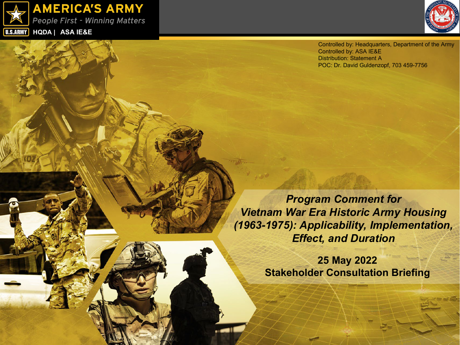



Controlled by: Headquarters, Department of the Army Controlled by: ASA IE&E Distribution: Statement A POC: Dr. David Guldenzopf, 703 459-7756

*Program Comment for Vietnam War Era Historic Army Housing (1963-1975): Applicability, Implementation, Effect, and Duration*

> **25 May 2022 Stakeholder Consultation Briefing**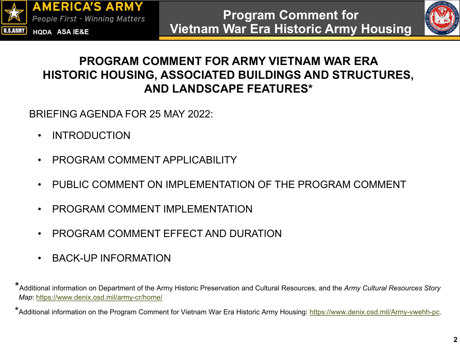



#### **PROGRAM COMMENT FOR ARMY VIETNAM WAR ERA HISTORIC HOUSING, ASSOCIATED BUILDINGS AND STRUCTURES, AND LANDSCAPE FEATURES\***

BRIEFING AGENDA FOR 25 MAY 2022:

- INTRODUCTION
- PROGRAM COMMENT APPI ICABILITY
- PUBLIC COMMENT ON IMPLEMENTATION OF THE PROGRAM COMMENT
- PROGRAM COMMENT IMPLEMENTATION
- PROGRAM COMMENT EFFECT AND DURATION
- BACK-UP INFORMATION

<sup>\*</sup>Additional information on Department of the Army Historic Preservation and Cultural Resources, and the *Army Cultural Resources Story Map*: <https://www.denix.osd.mil/army-cr/home/>

<sup>\*</sup>Additional information on the Program Comment for Vietnam War Era Historic Army Housing: <https://www.denix.osd.mil/Army-vwehh-pc>.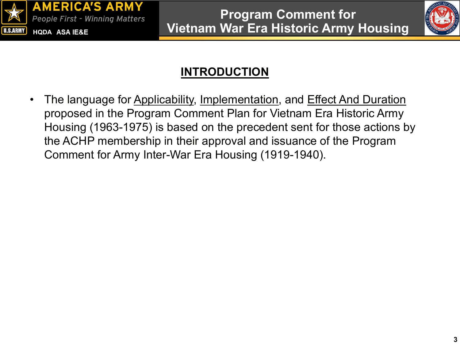



# **INTRODUCTION**

The language for Applicability, Implementation, and Effect And Duration proposed in the Program Comment Plan for Vietnam Era Historic Army Housing (1963-1975) is based on the precedent sent for those actions by the ACHP membership in their approval and issuance of the Program Comment for Army Inter-War Era Housing (1919-1940).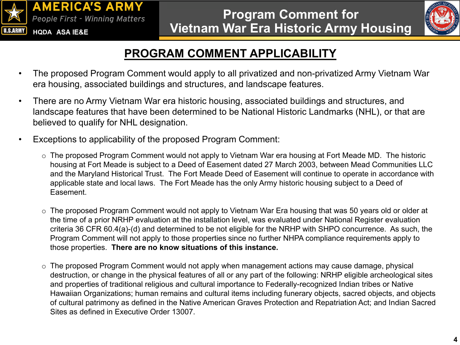



# **PROGRAM COMMENT APPLICABILITY**

- The proposed Program Comment would apply to all privatized and non-privatized Army Vietnam War era housing, associated buildings and structures, and landscape features.
- There are no Army Vietnam War era historic housing, associated buildings and structures, and landscape features that have been determined to be National Historic Landmarks (NHL), or that are believed to qualify for NHL designation.
- Exceptions to applicability of the proposed Program Comment:
	- o The proposed Program Comment would not apply to Vietnam War era housing at Fort Meade MD. The historic housing at Fort Meade is subject to a Deed of Easement dated 27 March 2003, between Mead Communities LLC and the Maryland Historical Trust. The Fort Meade Deed of Easement will continue to operate in accordance with applicable state and local laws. The Fort Meade has the only Army historic housing subject to a Deed of Easement.
	- o The proposed Program Comment would not apply to Vietnam War Era housing that was 50 years old or older at the time of a prior NRHP evaluation at the installation level, was evaluated under National Register evaluation criteria 36 CFR 60.4(a)-(d) and determined to be not eligible for the NRHP with SHPO concurrence. As such, the Program Comment will not apply to those properties since no further NHPA compliance requirements apply to those properties. **There are no know situations of this instance.**
	- o The proposed Program Comment would not apply when management actions may cause damage, physical destruction, or change in the physical features of all or any part of the following: NRHP eligible archeological sites and properties of traditional religious and cultural importance to Federally-recognized Indian tribes or Native Hawaiian Organizations; human remains and cultural items including funerary objects, sacred objects, and objects of cultural patrimony as defined in the Native American Graves Protection and Repatriation Act; and Indian Sacred Sites as defined in Executive Order 13007.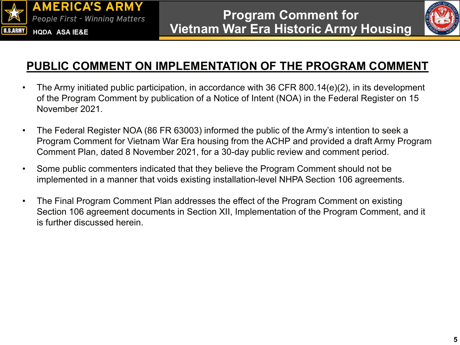



#### **PUBLIC COMMENT ON IMPLEMENTATION OF THE PROGRAM COMMENT**

- The Army initiated public participation, in accordance with 36 CFR 800.14(e)(2), in its development of the Program Comment by publication of a Notice of Intent (NOA) in the Federal Register on 15 November 2021.
- The Federal Register NOA (86 FR 63003) informed the public of the Army's intention to seek a Program Comment for Vietnam War Era housing from the ACHP and provided a draft Army Program Comment Plan, dated 8 November 2021, for a 30-day public review and comment period.
- Some public commenters indicated that they believe the Program Comment should not be implemented in a manner that voids existing installation-level NHPA Section 106 agreements.
- The Final Program Comment Plan addresses the effect of the Program Comment on existing Section 106 agreement documents in Section XII, Implementation of the Program Comment, and it is further discussed herein.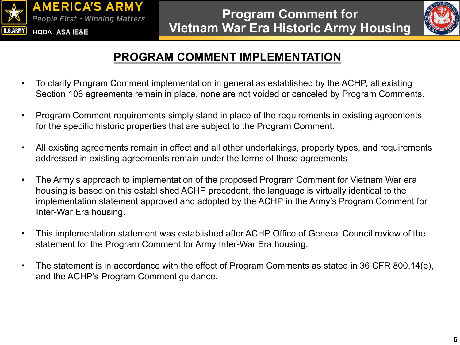



#### **PROGRAM COMMENT IMPLEMENTATION**

- To clarify Program Comment implementation in general as established by the ACHP, all existing Section 106 agreements remain in place, none are not voided or canceled by Program Comments.
- Program Comment requirements simply stand in place of the requirements in existing agreements for the specific historic properties that are subject to the Program Comment.
- All existing agreements remain in effect and all other undertakings, property types, and requirements addressed in existing agreements remain under the terms of those agreements
- The Army's approach to implementation of the proposed Program Comment for Vietnam War era housing is based on this established ACHP precedent, the language is virtually identical to the implementation statement approved and adopted by the ACHP in the Army's Program Comment for Inter-War Era housing.
- This implementation statement was established after ACHP Office of General Council review of the statement for the Program Comment for Army Inter-War Era housing.
- The statement is in accordance with the effect of Program Comments as stated in 36 CFR 800.14(e), and the ACHP's Program Comment guidance.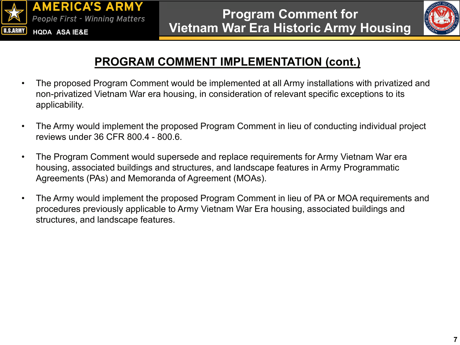



# **PROGRAM COMMENT IMPLEMENTATION (cont.)**

- The proposed Program Comment would be implemented at all Army installations with privatized and non-privatized Vietnam War era housing, in consideration of relevant specific exceptions to its applicability.
- The Army would implement the proposed Program Comment in lieu of conducting individual project reviews under 36 CFR 800.4 - 800.6.
- The Program Comment would supersede and replace requirements for Army Vietnam War era housing, associated buildings and structures, and landscape features in Army Programmatic Agreements (PAs) and Memoranda of Agreement (MOAs).
- The Army would implement the proposed Program Comment in lieu of PA or MOA requirements and procedures previously applicable to Army Vietnam War Era housing, associated buildings and structures, and landscape features.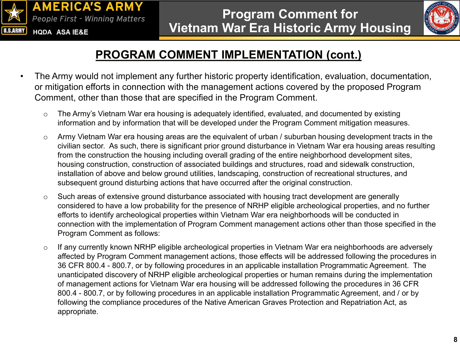



## **PROGRAM COMMENT IMPLEMENTATION (cont.)**

- The Army would not implement any further historic property identification, evaluation, documentation, or mitigation efforts in connection with the management actions covered by the proposed Program Comment, other than those that are specified in the Program Comment.
	- o The Army's Vietnam War era housing is adequately identified, evaluated, and documented by existing information and by information that will be developed under the Program Comment mitigation measures.
	- o Army Vietnam War era housing areas are the equivalent of urban / suburban housing development tracts in the civilian sector. As such, there is significant prior ground disturbance in Vietnam War era housing areas resulting from the construction the housing including overall grading of the entire neighborhood development sites, housing construction, construction of associated buildings and structures, road and sidewalk construction, installation of above and below ground utilities, landscaping, construction of recreational structures, and subsequent ground disturbing actions that have occurred after the original construction.
	- o Such areas of extensive ground disturbance associated with housing tract development are generally considered to have a low probability for the presence of NRHP eligible archeological properties, and no further efforts to identify archeological properties within Vietnam War era neighborhoods will be conducted in connection with the implementation of Program Comment management actions other than those specified in the Program Comment as follows:
	- o If any currently known NRHP eligible archeological properties in Vietnam War era neighborhoods are adversely affected by Program Comment management actions, those effects will be addressed following the procedures in 36 CFR 800.4 - 800.7, or by following procedures in an applicable installation Programmatic Agreement. The unanticipated discovery of NRHP eligible archeological properties or human remains during the implementation of management actions for Vietnam War era housing will be addressed following the procedures in 36 CFR 800.4 - 800.7, or by following procedures in an applicable installation Programmatic Agreement, and / or by following the compliance procedures of the Native American Graves Protection and Repatriation Act, as appropriate.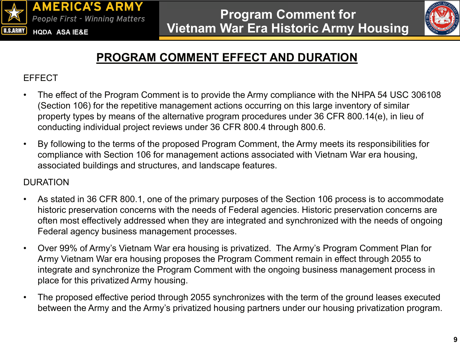



# **PROGRAM COMMENT EFFECT AND DURATION**

#### EFFECT

- The effect of the Program Comment is to provide the Army compliance with the NHPA 54 USC 306108 (Section 106) for the repetitive management actions occurring on this large inventory of similar property types by means of the alternative program procedures under 36 CFR 800.14(e), in lieu of conducting individual project reviews under 36 CFR 800.4 through 800.6.
- By following to the terms of the proposed Program Comment, the Army meets its responsibilities for compliance with Section 106 for management actions associated with Vietnam War era housing, associated buildings and structures, and landscape features.

#### DURATION

- As stated in 36 CFR 800.1, one of the primary purposes of the Section 106 process is to accommodate historic preservation concerns with the needs of Federal agencies. Historic preservation concerns are often most effectively addressed when they are integrated and synchronized with the needs of ongoing Federal agency business management processes.
- Over 99% of Army's Vietnam War era housing is privatized. The Army's Program Comment Plan for Army Vietnam War era housing proposes the Program Comment remain in effect through 2055 to integrate and synchronize the Program Comment with the ongoing business management process in place for this privatized Army housing.
- The proposed effective period through 2055 synchronizes with the term of the ground leases executed between the Army and the Army's privatized housing partners under our housing privatization program.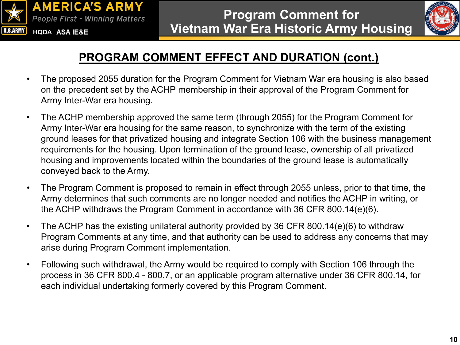



## **PROGRAM COMMENT EFFECT AND DURATION (cont.)**

- The proposed 2055 duration for the Program Comment for Vietnam War era housing is also based on the precedent set by the ACHP membership in their approval of the Program Comment for Army Inter-War era housing.
- The ACHP membership approved the same term (through 2055) for the Program Comment for Army Inter-War era housing for the same reason, to synchronize with the term of the existing ground leases for that privatized housing and integrate Section 106 with the business management requirements for the housing. Upon termination of the ground lease, ownership of all privatized housing and improvements located within the boundaries of the ground lease is automatically conveyed back to the Army.
- The Program Comment is proposed to remain in effect through 2055 unless, prior to that time, the Army determines that such comments are no longer needed and notifies the ACHP in writing, or the ACHP withdraws the Program Comment in accordance with 36 CFR 800.14(e)(6).
- The ACHP has the existing unilateral authority provided by 36 CFR 800.14(e)(6) to withdraw Program Comments at any time, and that authority can be used to address any concerns that may arise during Program Comment implementation.
- Following such withdrawal, the Army would be required to comply with Section 106 through the process in 36 CFR 800.4 - 800.7, or an applicable program alternative under 36 CFR 800.14, for each individual undertaking formerly covered by this Program Comment.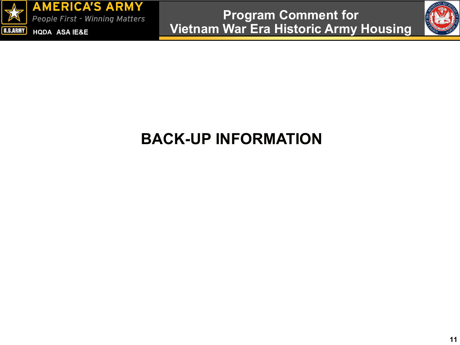



# **BACK-UP INFORMATION**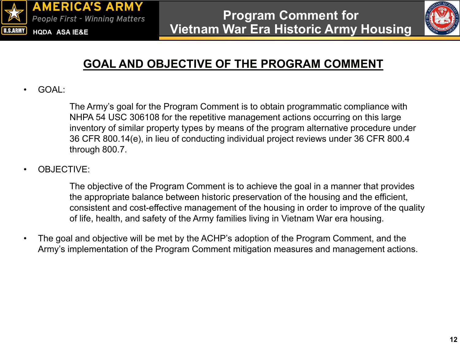



# **GOAL AND OBJECTIVE OF THE PROGRAM COMMENT**

• GOAL:

The Army's goal for the Program Comment is to obtain programmatic compliance with NHPA 54 USC 306108 for the repetitive management actions occurring on this large inventory of similar property types by means of the program alternative procedure under 36 CFR 800.14(e), in lieu of conducting individual project reviews under 36 CFR 800.4 through 800.7.

• OBJECTIVE:

The objective of the Program Comment is to achieve the goal in a manner that provides the appropriate balance between historic preservation of the housing and the efficient, consistent and cost-effective management of the housing in order to improve of the quality of life, health, and safety of the Army families living in Vietnam War era housing.

• The goal and objective will be met by the ACHP's adoption of the Program Comment, and the Army's implementation of the Program Comment mitigation measures and management actions.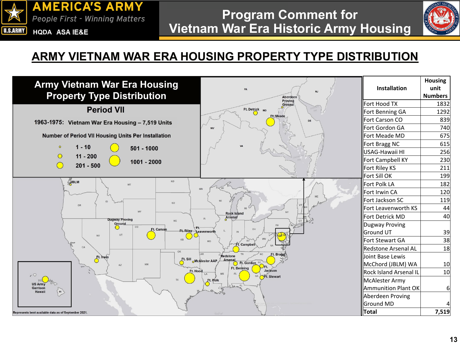



#### **ARMY VIETNAM WAR ERA HOUSING PROPERTY TYPE DISTRIBUTION**